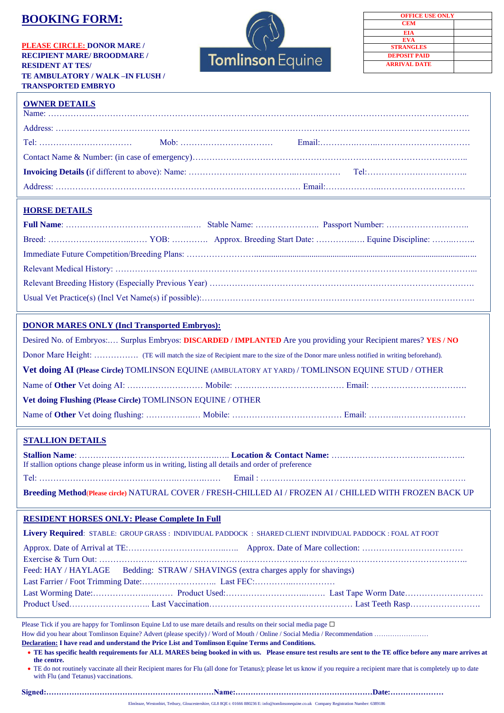# **BOOKING FORM:**

**PLEASE CIRCLE: DONOR MARE / RECIPIENT MARE/ BROODMARE / RESIDENT AT TES/ TE AMBULATORY / WALK –IN FLUSH / TRANSPORTED EMBRYO** 



| <b>OFFICE USE ONLY</b> |  |
|------------------------|--|
| <b>CEM</b>             |  |
| EIA                    |  |
| <b>EVA</b>             |  |
| <b>STRANGLES</b>       |  |
| <b>DEPOSIT PAID</b>    |  |
| <b>ARRIVAL DATE</b>    |  |
|                        |  |

# **OWNER DETAILS**

### **HORSE DETAILS**

## **DONOR MARES ONLY (Incl Transported Embryos):**

Desired No. of Embryos:.… Surplus Embryos: **DISCARDED / IMPLANTED** Are you providing your Recipient mares? **YES / NO** Donor Mare Height: ……………. (TE will match the size of Recipient mare to the size of the Donor mare unless notified in writing beforehand). **Vet doing AI (Please Circle)** TOMLINSON EQUINE (AMBULATORY AT YARD) / TOMLINSON EQUINE STUD / OTHER Name of **Other** Vet doing AI: ……………………… Mobile: ………………………………… Email: ……………………………. **Vet doing Flushing (Please Circle)** TOMLINSON EQUINE / OTHER Name of **Other** Vet doing flushing: ……………..… Mobile: ………………………………… Email: ………..……………………

# **STALLION DETAILS**

| If stallion options change please inform us in writing, listing all details and order of preference |  |
|-----------------------------------------------------------------------------------------------------|--|
|                                                                                                     |  |

**Breeding Method**(**Please circle)** NATURAL COVER / FRESH-CHILLED AI / FROZEN AI / CHILLED WITH FROZEN BACK UP

### **RESIDENT HORSES ONLY: Please Complete In Full**

|                                                                                  | Livery Required: STABLE: GROUP GRASS: INDIVIDUAL PADDOCK: SHARED CLIENT INDIVIDUAL PADDOCK: FOAL AT FOOT |
|----------------------------------------------------------------------------------|----------------------------------------------------------------------------------------------------------|
|                                                                                  |                                                                                                          |
|                                                                                  |                                                                                                          |
| Feed: HAY / HAYLAGE Bedding: STRAW / SHAVINGS (extra charges apply for shavings) |                                                                                                          |
|                                                                                  |                                                                                                          |
|                                                                                  |                                                                                                          |
|                                                                                  |                                                                                                          |

Please Tick if you are happy for Tomlinson Equine Ltd to use mare details and results on their social media page  $\Box$ How did you hear about Tomlinson Equine? Advert (please specify) / Word of Mouth / Online / Social Media / Recommendation ……………………

**Declaration: I have read and understand the Price List and Tomlinson Equine Terms and Conditions.**  • **TE has specific health requirements for ALL MARES being booked in with us. Please ensure test results are sent to the TE office before any mare arrives at** 

**the centre.** 

• TE do not routinely vaccinate all their Recipient mares for Flu (all done for Tetanus); please let us know if you require a recipient mare that is completely up to date with Flu (and Tetanus) vaccinations.

**Signed:…………………………………………………………Name:………………………………………………Date:…………………**

Elmleaze, Westonbirt, Tetbury, Gloucestershire, GL8 8QE t: 01666 880236 E: info@tomlinsonequine.co.uk Company Registration Number: 6389186